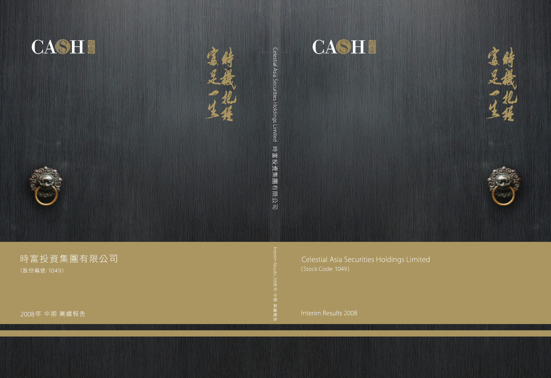

Celestial Asia Securities Holdings Limited

Interim Results 2008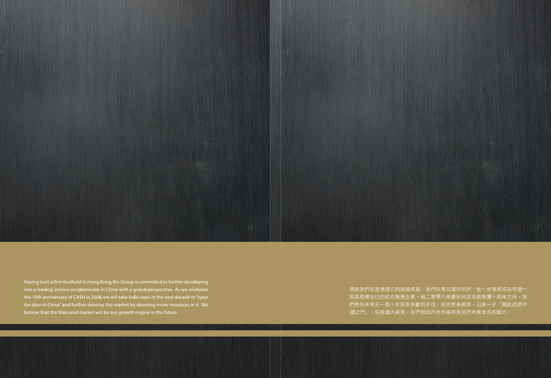Having built a firm foothold in Hong Kong, the Group is committed to further developing into a leading service conglomerate in China with a global perspective. As we celebrate the 10th anniversary of CASH in 2008, we will take bold steps in the next decade to "open  $\frac{1}{2}$  the door to China" and further develop the market by devoting more resources in it. We believe that the Mainland market will be our growth engine in the future.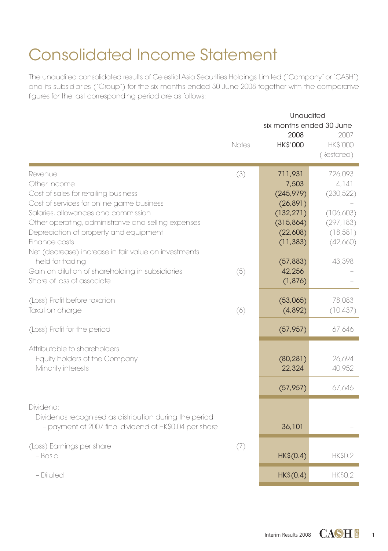# Consolidated Income Statement

The unaudited consolidated results of Celestial Asia Securities Holdings Limited ("Company" or "CASH") and its subsidiaries ("Group") for the six months ended 30 June 2008 together with the comparative figures for the last corresponding period are as follows:

|                                                                                                | Notes | Unaudited<br>six months ended 30 June<br>2008<br><b>HK\$'000</b> | 2007<br><b>HKS'000</b><br>(Restated) |
|------------------------------------------------------------------------------------------------|-------|------------------------------------------------------------------|--------------------------------------|
| Revenue                                                                                        | (3)   | 711,931                                                          | 726,093                              |
| Other income                                                                                   |       | 7,503                                                            | 4.141                                |
| Cost of sales for retailing business                                                           |       | (245, 979)                                                       | (230, 522)                           |
| Cost of services for online game business                                                      |       | (26, 891)                                                        |                                      |
| Salaries, allowances and commission                                                            |       | (132, 271)                                                       | (106,603)                            |
| Other operating, administrative and selling expenses<br>Depreciation of property and equipment |       | (315, 864)<br>(22,608)                                           | (297, 183)<br>(18, 581)              |
| Finance costs                                                                                  |       | (11, 383)                                                        | (42,660)                             |
| Net (decrease) increase in fair value on investments                                           |       |                                                                  |                                      |
| held for trading                                                                               |       | (57, 883)                                                        | 43,398                               |
| Gain on dilution of shareholding in subsidiaries                                               | (5)   | 42,256                                                           |                                      |
| Share of loss of associate                                                                     |       | (1,876)                                                          |                                      |
|                                                                                                |       |                                                                  |                                      |
| (Loss) Profit before taxation                                                                  |       | (53,065)                                                         | 78,083                               |
| Taxation charge                                                                                | (6)   | (4,892)                                                          | (10, 437)                            |
| (Loss) Profit for the period                                                                   |       | (57, 957)                                                        | 67,646                               |
| Attributable to shareholders:                                                                  |       |                                                                  |                                      |
| Equity holders of the Company                                                                  |       | (80, 281)                                                        | 26,694                               |
| Minority interests                                                                             |       | 22,324                                                           | 40,952                               |
|                                                                                                |       |                                                                  |                                      |
|                                                                                                |       | (57, 957)                                                        | 67,646                               |
| Dividend:                                                                                      |       |                                                                  |                                      |
| Dividends recognised as distribution during the period                                         |       |                                                                  |                                      |
| - payment of 2007 final dividend of HK\$0.04 per share                                         |       | 36,101                                                           |                                      |
| (Loss) Earnings per share                                                                      | (7)   |                                                                  |                                      |
| - Basic                                                                                        |       | HK\$(0.4)                                                        | <b>HK\$0.2</b>                       |
|                                                                                                |       |                                                                  |                                      |
| - Diluted                                                                                      |       | HK\$(0.4)                                                        | <b>HK\$0.2</b>                       |

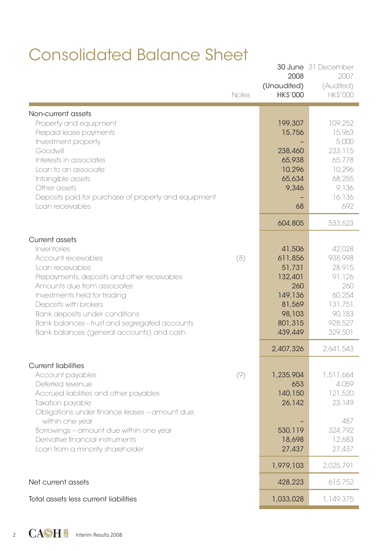## Consolidated Balance Sheet

|                                                                                                                                                                                                                                                                                                                               | Notes | 2008<br>(Unaudited)<br><b>HK\$'000</b>                                                             | <b>30 June</b> 31 December<br>2007<br>(Audited)<br><b>HKS'000</b>                                 |
|-------------------------------------------------------------------------------------------------------------------------------------------------------------------------------------------------------------------------------------------------------------------------------------------------------------------------------|-------|----------------------------------------------------------------------------------------------------|---------------------------------------------------------------------------------------------------|
| Non-current assets<br>Property and equipment<br>Prepaid lease payments<br>Investment property<br>Goodwill<br>Interests in associates<br>Loan to an associate<br>Intangible assets<br>Other assets<br>Deposits paid for purchase of property and equipment<br>Loan receivables                                                 |       | 199,307<br>15,756<br>238,460<br>65,938<br>10,296<br>65,634<br>9,346<br>68                          | 109.252<br>15,963<br>5,000<br>233,115<br>65,778<br>10,296<br>68,255<br>9,136<br>16,136<br>692     |
| Current assets                                                                                                                                                                                                                                                                                                                |       | 604,805                                                                                            | 533.623                                                                                           |
| Inventories<br>Account receivables<br>Loan receivables<br>Prepayments, deposits and other receivables<br>Amounts due from associates<br>Investments held for trading<br>Deposits with brokers<br>Bank deposits under conditions<br>Bank balances - trust and segregated accounts<br>Bank balances (general accounts) and cash | (8)   | 41,506<br>611,856<br>51,731<br>132,401<br>260<br>149,136<br>81,569<br>98,103<br>801,315<br>439,449 | 42,028<br>938,998<br>28,915<br>91,126<br>260<br>60,254<br>131,751<br>90.183<br>928,527<br>329,501 |
|                                                                                                                                                                                                                                                                                                                               |       | 2,407,326                                                                                          | 2,641,543                                                                                         |
| <b>Current liabilities</b><br>Account payables<br>Deferred revenue<br>Accrued liabilities and other payables<br>Taxation payable<br>Obligations under finance leases - amount due                                                                                                                                             | (9)   | 1,235,904<br>653<br>140,150<br>26,142                                                              | 1,511,664<br>4,059<br>121,520<br>23.149<br>487                                                    |
| within one year<br>Borrowings - amount due within one year<br>Derivative financial instruments<br>Loan from a minority shareholder                                                                                                                                                                                            |       | 530,119<br>18,698<br>27,437                                                                        | 324.792<br>12,683<br>27,437                                                                       |
|                                                                                                                                                                                                                                                                                                                               |       | 1,979,103                                                                                          | 2,025,791                                                                                         |
| Net current assets                                                                                                                                                                                                                                                                                                            |       | 428,223                                                                                            | 615,752                                                                                           |
| Total assets less current liabilities                                                                                                                                                                                                                                                                                         |       | 1.033.028                                                                                          | 1,149,375                                                                                         |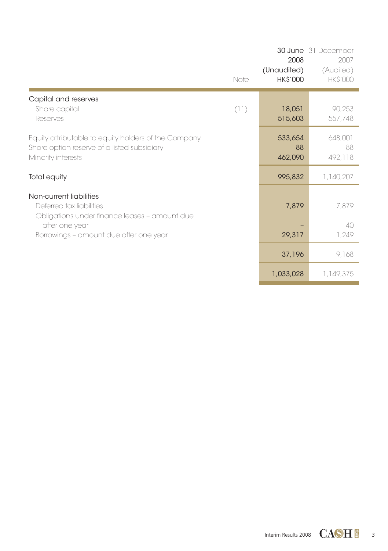|                                                                                                                                                                  | Note | 2008<br>(Unaudited)<br><b>HK\$'000</b> | 30 June 31 December<br>2007<br>(Audited)<br><b>HK\$'000</b> |
|------------------------------------------------------------------------------------------------------------------------------------------------------------------|------|----------------------------------------|-------------------------------------------------------------|
| Capital and reserves<br>Share capital<br>Reserves                                                                                                                | (11) | 18,051<br>515,603                      | 90,253<br>557,748                                           |
| Equity attributable to equity holders of the Company<br>Share option reserve of a listed subsidiary<br>Minority interests                                        |      | 533,654<br>88<br>462,090               | 648,001<br>88<br>492,118                                    |
| Total equity                                                                                                                                                     |      | 995,832                                | 1,140,207                                                   |
| Non-current liabilities<br>Deferred tax liabilities<br>Obligations under finance leases - amount due<br>after one year<br>Borrowings - amount due after one year |      | 7,879<br>29,317                        | 7,879<br>40<br>1,249                                        |
|                                                                                                                                                                  |      | 37,196                                 | 9,168                                                       |
|                                                                                                                                                                  |      | 1,033,028                              | 1,149,375                                                   |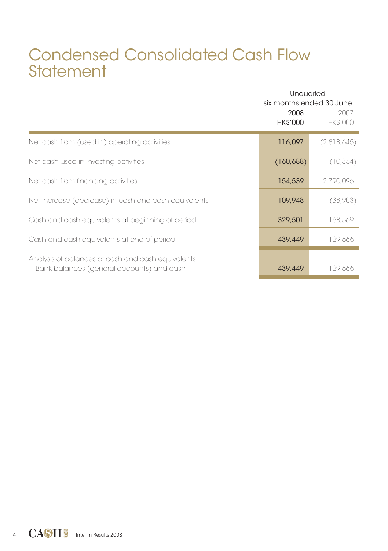## Condensed Consolidated Cash Flow **Statement**

|                                                                                                | Unaudited<br>six months ended 30 June |                        |  |
|------------------------------------------------------------------------------------------------|---------------------------------------|------------------------|--|
|                                                                                                | 2008<br>HK\$'000                      | 2007<br><b>HKS'000</b> |  |
| Net cash from (used in) operating activities                                                   | 116,097                               | (2,818,645)            |  |
| Net cash used in investing activities                                                          | (160, 688)                            | (10, 354)              |  |
| Net cash from financing activities                                                             | 154,539                               | 2,790,096              |  |
| Net increase (decrease) in cash and cash equivalents                                           | 109,948                               | (38,903)               |  |
| Cash and cash equivalents at beginning of period                                               | 329,501                               | 168,569                |  |
| Cash and cash equivalents at end of period                                                     | 439,449                               | 129,666                |  |
| Analysis of balances of cash and cash equivalents<br>Bank balances (general accounts) and cash | 439,449                               | 129,666                |  |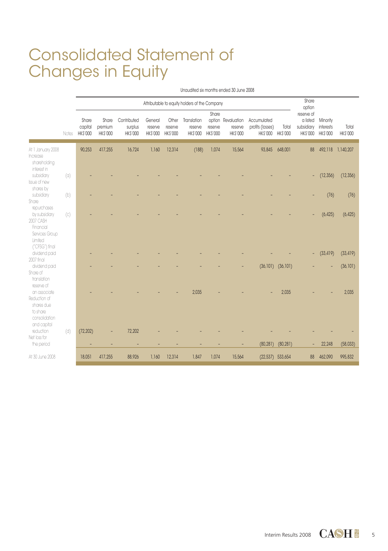## Consolidated Statement of Changes in Equity

Unaudited six months ended 30 June 2008

|                                                                                        |                   | Attributable to equity holders of the Company |                              |                                    |                                |                              |                                    |                              | Share<br>option                           |                                                      |                         |                                      |                                            |                   |
|----------------------------------------------------------------------------------------|-------------------|-----------------------------------------------|------------------------------|------------------------------------|--------------------------------|------------------------------|------------------------------------|------------------------------|-------------------------------------------|------------------------------------------------------|-------------------------|--------------------------------------|--------------------------------------------|-------------------|
|                                                                                        | Notes             | Share<br>capital<br>HK\$'000                  | Share<br>premium<br>HK\$'000 | Contributed<br>surplus<br>HK\$'000 | General<br>reserve<br>HK\$'000 | Other<br>reserve<br>HK\$'000 | Translation<br>reserve<br>HK\$'000 | Share<br>reserve<br>HK\$'000 | option Revaluation<br>reserve<br>HK\$'000 | Accumulated<br>profits (losses)<br>HK\$'000 HK\$'000 | Total                   | reserve of<br>a listed<br>subsidiary | Minority<br>interests<br>HK\$'000 HK\$'000 | Total<br>HK\$'000 |
| At 1 January 2008<br>Increase<br>shareholding<br>interest in                           |                   | 90.253                                        | 417.255                      | 16,724                             | 1,160                          | 12,314                       | (188)                              | 1,074                        | 15,564                                    | 93,845                                               | 648,001                 | 88                                   |                                            | 492,118 1,140,207 |
| subsidiary<br>Issue of new<br>shares by                                                | $\left( 0\right)$ |                                               |                              |                                    |                                |                              |                                    |                              |                                           |                                                      |                         | $\overline{\phantom{a}}$             | (12, 356)                                  | (12, 356)         |
| subsidiary<br>Share<br>repurchases                                                     | (b)               |                                               |                              |                                    |                                |                              |                                    |                              |                                           |                                                      |                         |                                      | (76)                                       | (76)              |
| by subsidiary<br>2007 CASH<br>Financial<br>Services Group<br>Limited<br>("CFSG") final | (c)               |                                               |                              |                                    |                                |                              |                                    |                              |                                           |                                                      |                         |                                      | (6, 425)                                   | (6, 425)          |
| dividend paid<br>2007 final                                                            |                   |                                               |                              |                                    |                                |                              |                                    |                              |                                           |                                                      |                         | ٠                                    | (33, 419)                                  | (33, 419)         |
| dividend paid<br>Share of<br>translation<br>reserve of                                 |                   |                                               |                              |                                    |                                |                              |                                    |                              |                                           |                                                      | $(36, 101)$ $(36, 101)$ |                                      |                                            | (36, 101)         |
| an associate<br>Reduction of<br>shares due<br>to share<br>consolidation<br>and capital |                   |                                               |                              |                                    |                                |                              | 2.035                              |                              |                                           |                                                      | 2.035                   |                                      |                                            | 2,035             |
| reduction<br>Net loss for<br>the period                                                | (d)               | (72, 202)                                     |                              | 72,202                             |                                |                              |                                    |                              |                                           | (80, 281)                                            | (80, 281)               |                                      | 22,248                                     | (58,033)          |
| At 30 June 2008                                                                        |                   | 18.051                                        | 417.255                      | 88,926                             | 1,160                          | 12,314                       | 1,847                              | 1,074                        | 15,564                                    |                                                      | $(22,537)$ 533,654      | 88                                   | 462,090                                    | 995.832           |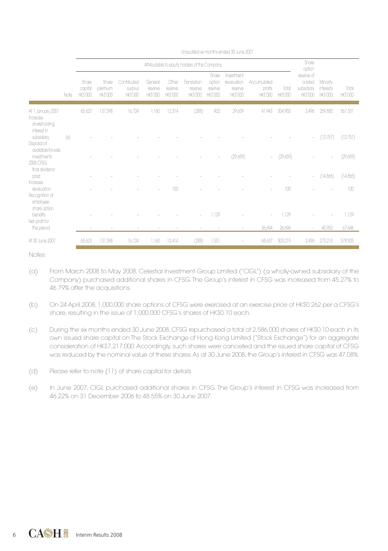|                                                                  |      | Attributable to equity holders of the Company |                                    |                                          |                                      |                                    |                                          |                                              |                                                        | Share<br>option                           |                         |                                                        |                                          |                   |
|------------------------------------------------------------------|------|-----------------------------------------------|------------------------------------|------------------------------------------|--------------------------------------|------------------------------------|------------------------------------------|----------------------------------------------|--------------------------------------------------------|-------------------------------------------|-------------------------|--------------------------------------------------------|------------------------------------------|-------------------|
|                                                                  | Note | Share<br>capital<br><b>HKS'000</b>            | Share<br>premium<br><b>HKS'000</b> | Contributed<br>surplus<br><b>HKS'000</b> | General<br>reserve<br><b>HKS'000</b> | Other<br>reserve<br><b>HKS'000</b> | Translation<br>reserve<br><b>HKS'000</b> | Share<br>option<br>reserve<br><b>HKS'000</b> | Investment<br>revaluation<br>reserve<br><b>HKS'000</b> | Accumulated<br>profits<br><b>HK\$'000</b> | Total<br><b>HKS'000</b> | reserve of<br>a listed<br>subsidiary<br><b>HKS'000</b> | Minority<br>interests<br><b>HK\$'000</b> | Total<br>HK\$'000 |
| At 1 January 2007<br>Increase<br>shareholding                    |      | 65,623                                        | 137,398                            | 16,724                                   | 1,160                                | 12,314                             | (288)                                    | 422                                          | 29,659                                                 | 41,943                                    | 304.955                 | 2,496                                                  | 259.880                                  | 567,331           |
| interest in<br>subsidiary<br>Disposal of                         | (e)  |                                               |                                    |                                          |                                      |                                    |                                          |                                              |                                                        |                                           |                         |                                                        | $-$ (12,757)                             | (12,757)          |
| available-for-sale<br>investments<br>2006 CFSG<br>final dividend |      |                                               |                                    |                                          |                                      |                                    |                                          |                                              | (29,659)                                               | $\sim$                                    | (29,659)                |                                                        |                                          | (29,659)          |
| paid<br>Increase                                                 |      |                                               |                                    |                                          |                                      |                                    |                                          |                                              |                                                        |                                           |                         | $\overline{\phantom{a}}$                               | (14, 865)                                | (14, 865)         |
| revaluation<br>Recognition of<br>employee<br>share option        |      |                                               |                                    |                                          |                                      | 100                                |                                          |                                              |                                                        |                                           | 100                     |                                                        |                                          | 100               |
| benefits<br>Net profit for                                       |      |                                               |                                    |                                          |                                      |                                    |                                          | 1.129                                        |                                                        |                                           | 1,129                   |                                                        |                                          | 1,129             |
| the period                                                       |      |                                               | $\sim$                             |                                          |                                      |                                    |                                          |                                              | ٠                                                      | 26,694                                    | 26,694                  | $\overline{\phantom{a}}$                               | 40.952                                   | 67,646            |
| At 30 June 2007                                                  |      | 65,623                                        | 137.398                            | 16,724                                   | 1,160                                | 12.414                             | (288)                                    | 1,551                                        |                                                        | 68.637                                    | 303.219                 | 2.496                                                  | 273.210                                  | 578.925           |

Unaudited six months ended 30 June 2007

Notes:

- (a) From March 2008 to May 2008, Celestial Investment Group Limited ("CIGL") (a wholly-owned subsidiary of the Company) purchased additional shares in CFSG. The Group's interest in CFSG was increased from 45.27% to 46.79% after the acquisitions.
- (b) On 24 April 2008, 1,000,000 share options of CFSG were exercised at an exercise price of HK\$0.262 per a CFSG's share, resulting in the issue of 1,000,000 CFSG's shares of HK\$0.10 each.
- (c) During the six months ended 30 June 2008, CFSG repurchased a total of 2,586,000 shares of HK\$0.10 each in its own issued share capital on The Stock Exchange of Hong Kong Limited ("Stock Exchange") for an aggregate consideration of HK\$7,217,000. Accordingly, such shares were cancelled and the issued share capital of CFSG was reduced by the nominal value of these shares. As at 30 June 2008, the Group's interest in CFSG was 47.08%.
- (d) Please refer to note (11) of share capital for details.
- (e) In June 2007, CIGL purchased additional shares in CFSG. The Group's interest in CFSG was increased from 46.22% on 31 December 2006 to 48.55% on 30 June 2007.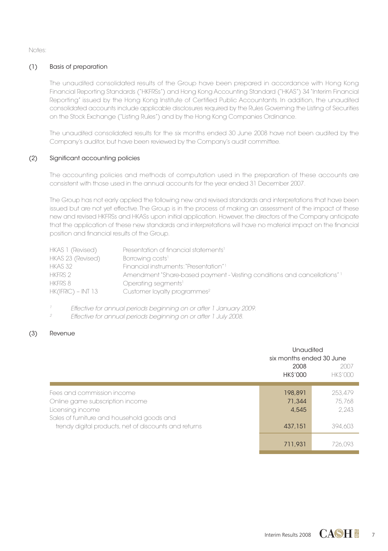Notes:

### (1) Basis of preparation

The unaudited consolidated results of the Group have been prepared in accordance with Hong Kong Financial Reporting Standards ("HKFRSs") and Hong Kong Accounting Standard ("HKAS") 34 "Interim Financial Reporting" issued by the Hong Kong Institute of Certified Public Accountants. In addition, the unaudited consolidated accounts include applicable disclosures required by the Rules Governing the Listing of Securities on the Stock Exchange ("Listing Rules") and by the Hong Kong Companies Ordinance.

The unaudited consolidated results for the six months ended 30 June 2008 have not been audited by the Company's auditor, but have been reviewed by the Company's audit committee.

### (2) Significant accounting policies

The accounting policies and methods of computation used in the preparation of these accounts are consistent with those used in the annual accounts for the year ended 31 December 2007.

The Group has not early applied the following new and revised standards and interpretations that have been issued but are not yet effective. The Group is in the process of making an assessment of the impact of these new and revised HKFRSs and HKASs upon initial application. However, the directors of the Company anticipate that the application of these new standards and interpretations will have no material impact on the financial position and financial results of the Group.

| HKAS 1 (Revised)     | Presentation of financial statements <sup>1</sup>                        |
|----------------------|--------------------------------------------------------------------------|
| HKAS 23 (Revised)    | Borrowing costs <sup>1</sup>                                             |
| HKAS 32              | Financial instruments: "Presentation" 1                                  |
| HKFRS 2              | Amendment "Share-based payment - Vesting conditions and cancellations" 1 |
| HKFRS 8              | Operating segments <sup>1</sup>                                          |
| $HK(IFRIC) - INT 13$ | Customer loyalty programmes <sup>2</sup>                                 |

1 Effective for annual periods beginning on or after 1 January 2009.

2 Effective for annual periods beginning on or after 1 July 2008.

#### (3) Revenue

|                                                                                                                                 | Unaudited<br>six months ended 30 June |                            |  |  |
|---------------------------------------------------------------------------------------------------------------------------------|---------------------------------------|----------------------------|--|--|
|                                                                                                                                 | 2008<br><b>HK\$'000</b>               | 2007<br><b>HKS'000</b>     |  |  |
| Fees and commission income<br>Online game subscription income<br>Licensing income<br>Sales of furniture and household goods and | 198,891<br>71,344<br>4.545            | 253.479<br>75.768<br>2.243 |  |  |
| trendy digital products, net of discounts and returns                                                                           | 437,151                               | 394.603                    |  |  |
|                                                                                                                                 | 711.931                               | 726.093                    |  |  |

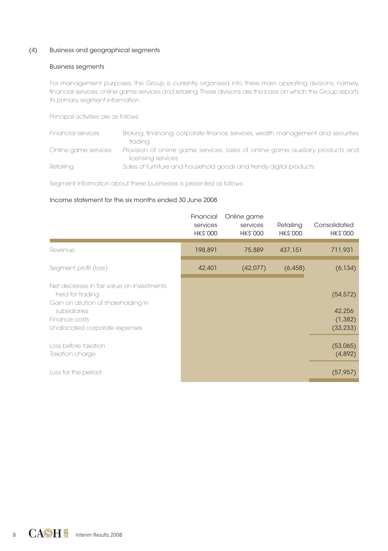#### (4) Business and geographical segments

#### Business segments

For management purposes, the Group is currently organised into three main operating divisions, namely, financial services, online game services and retailing. These divisions are the basis on which the Group reports its primary segment information.

Principal activities are as follows:

| Financial services   | Broking, financing, corporate finance services, wealth management and securities |
|----------------------|----------------------------------------------------------------------------------|
|                      | tradina                                                                          |
| Online game services | Provision of online game services, sales of online game auxiliary products and   |
|                      | licensing services                                                               |
| Retailina            | Sales of furniture and household goods and trendy digital products               |

Segment information about these businesses is presented as follows:

#### Income statement for the six months ended 30 June 2008

|                                                                                                                                                                         | Financial<br>services<br><b>HK\$'000</b> | Online game<br>services<br><b>HK\$'000</b> | Retailing<br><b>HK\$'000</b> | Consolidated<br><b>HK\$'000</b>              |
|-------------------------------------------------------------------------------------------------------------------------------------------------------------------------|------------------------------------------|--------------------------------------------|------------------------------|----------------------------------------------|
| Revenue                                                                                                                                                                 | 198,891                                  | 75,889                                     | 437,151                      | 711,931                                      |
| Segment profit (loss)                                                                                                                                                   | 42,401                                   | (42,077)                                   | (6, 458)                     | (6, 134)                                     |
| Net decrease in fair value on investments<br>held for trading<br>Gain on dilution of shareholding in<br>subsidiaries<br>Finance costs<br>Unallocated corporate expenses |                                          |                                            |                              | (54, 572)<br>42,256<br>(1, 382)<br>(33, 233) |
| Loss before taxation<br>Taxation charge                                                                                                                                 |                                          |                                            |                              | (53,065)<br>(4,892)                          |
| Loss for the period                                                                                                                                                     |                                          |                                            |                              | (57, 957)                                    |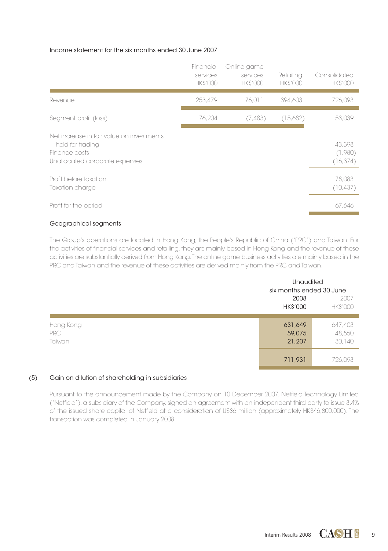#### Income statement for the six months ended 30 June 2007

|                                                                                                                  | Financial<br>services<br><b>HKS'000</b> | Online game<br>services<br><b>HKS'000</b> | Retailing<br><b>HK\$'000</b> | Consolidated<br><b>HKS'000</b> |
|------------------------------------------------------------------------------------------------------------------|-----------------------------------------|-------------------------------------------|------------------------------|--------------------------------|
| Revenue                                                                                                          | 253,479                                 | 78,011                                    | 394.603                      | 726,093                        |
| Segment profit (loss)                                                                                            | 76,204                                  | (7, 483)                                  | (15,682)                     | 53,039                         |
| Net increase in fair value on investments<br>held for trading<br>Finance costs<br>Unallocated corporate expenses |                                         |                                           |                              | 43.398<br>(1,980)<br>(16, 374) |
| Profit before taxation<br>Taxation charge                                                                        |                                         |                                           |                              | 78,083<br>(10, 437)            |
| Profit for the period                                                                                            |                                         |                                           |                              | 67.646                         |

### Geographical segments

The Group's operations are located in Hong Kong, the People's Republic of China ("PRC") and Taiwan. For the activities of financial services and retailing, they are mainly based in Hong Kong and the revenue of these activities are substantially derived from Hong Kong. The online game business activities are mainly based in the PRC and Taiwan and the revenue of these activities are derived mainly from the PRC and Taiwan.

|                            | <b>Unaudited</b><br>six months ended 30 June<br>2008 | 2007                        |
|----------------------------|------------------------------------------------------|-----------------------------|
|                            | <b>HK\$'000</b>                                      | <b>HK\$'000</b>             |
| Hong Kong<br>PRC<br>Taiwan | 631,649<br>59,075<br>21,207                          | 647,403<br>48,550<br>30,140 |
|                            | 711,931                                              | 726,093                     |

#### (5) Gain on dilution of shareholding in subsidiaries

Pursuant to the announcement made by the Company on 10 December 2007, Netfield Technology Limited ("Netfield"), a subsidiary of the Company, signed an agreement with an independent third party to issue 3.4% of the issued share capital of Netfield at a consideration of US\$6 million (approximately HK\$46,800,000). The transaction was completed in January 2008.

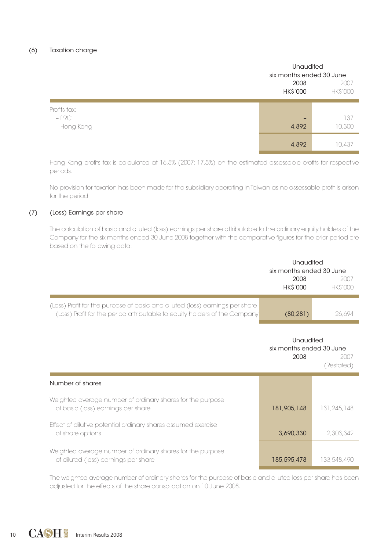|                                        |                         | <b>Unaudited</b><br>six months ended 30 June |  |  |
|----------------------------------------|-------------------------|----------------------------------------------|--|--|
|                                        | 2008<br><b>HK\$'000</b> | 2007<br><b>HK\$'000</b>                      |  |  |
| Profits tax:<br>$-$ PRC<br>- Hong Kong | -<br>4,892              | 137<br>10,300                                |  |  |
|                                        | 4,892                   | 10.437                                       |  |  |

Hong Kong profits tax is calculated at 16.5% (2007: 17.5%) on the estimated assessable profits for respective periods.

No provision for taxation has been made for the subsidiary operating in Taiwan as no assessable profit is arisen for the period.

#### (7) (Loss) Earnings per share

The calculation of basic and diluted (loss) earnings per share attributable to the ordinary equity holders of the Company for the six months ended 30 June 2008 together with the comparative figures for the prior period are based on the following data:

|                                                                                                                                                            | Unaudited<br>six months ended 30 June<br>2008<br><b>HK\$'000</b> | 2007<br><b>HKS'000</b> |
|------------------------------------------------------------------------------------------------------------------------------------------------------------|------------------------------------------------------------------|------------------------|
| (Loss) Profit for the purpose of basic and diluted (loss) earnings per share<br>(Loss) Profit for the period attributable to equity holders of the Company | (80, 281)                                                        | 26.694                 |
|                                                                                                                                                            | <b>Unaudited</b><br>six months ended 30 June<br>2008             | 2007<br>(Restated)     |
| Number of shares                                                                                                                                           |                                                                  |                        |
| Weighted average number of ordinary shares for the purpose<br>of basic (loss) earnings per share                                                           | 181,905,148                                                      | 131.245.148            |
| Effect of dilutive potential ordinary shares assumed exercise<br>of share options                                                                          | 3.690.330                                                        | 2.303.342              |
| Weighted average number of ordinary shares for the purpose<br>of diluted (loss) earnings per share                                                         | 185,595,478                                                      | 133.548.490            |

The weighted average number of ordinary shares for the purpose of basic and diluted loss per share has been adjusted for the effects of the share consolidation on 10 June 2008.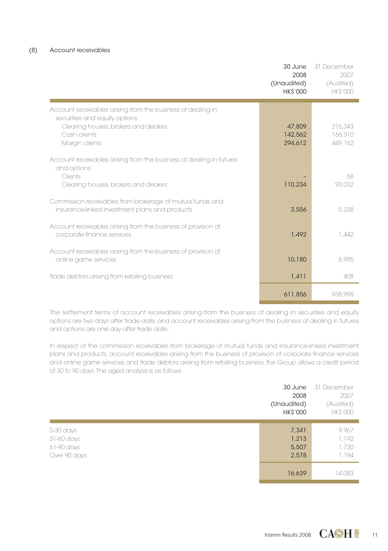|                                                                                                                                                                         | 30 June<br>2008<br>(Unaudited)<br><b>HK\$'000</b> | 31 December<br>2007<br>(Audited)<br><b>HKS'000</b> |
|-------------------------------------------------------------------------------------------------------------------------------------------------------------------------|---------------------------------------------------|----------------------------------------------------|
| Account receivables arising from the business of dealing in<br>securities and equity options:<br>Clearing houses, brokers and dealers<br>Cash clients<br>Margin clients | 47,809<br>142.562<br>294.612                      | 216.343<br>166.310<br>449.162                      |
| Account receivables arising from the business of dealing in futures<br>and options:<br>Clients<br>Clearing houses, brokers and dealers                                  | 110.234                                           | 68<br>93.032                                       |
| Commission receivables from brokerage of mutual funds and<br>insurance-linked investment plans and products                                                             | 3.556                                             | 5.238                                              |
| Account receivables arising from the business of provision of<br>corporate finance services                                                                             | 1.492                                             | 1.442                                              |
| Account receivables arising from the business of provision of<br>online game services                                                                                   | 10,180                                            | 6.995                                              |
| Trade debtors arising from retailing business                                                                                                                           | 1.411                                             | 408                                                |
|                                                                                                                                                                         | 611.856                                           | 938.998                                            |

The settlement terms of account receivables arising from the business of dealing in securities and equity options are two days after trade date, and account receivables arising from the business of dealing in futures and options are one day after trade date.

In respect of the commission receivables from brokerage of mutual funds and insurance-linked investment plans and products, account receivables arising from the business of provision of corporate finance services and online game services and trade debtors arising from retailing business, the Group allows a credit period of 30 to 90 days. The aged analysis is as follows:

|                                                       | 30 June<br>2008<br>(Unaudited)<br><b>HK\$'000</b> | 31 December<br>2007<br>(Audited)<br><b>HK\$'000</b> |
|-------------------------------------------------------|---------------------------------------------------|-----------------------------------------------------|
| 0-30 days<br>31-60 days<br>61-90 days<br>Over 90 days | 7,341<br>1,213<br>5,507<br>2,578                  | 9,967<br>1,192<br>1,730<br>1,194                    |
|                                                       | 16,639                                            | 14,083                                              |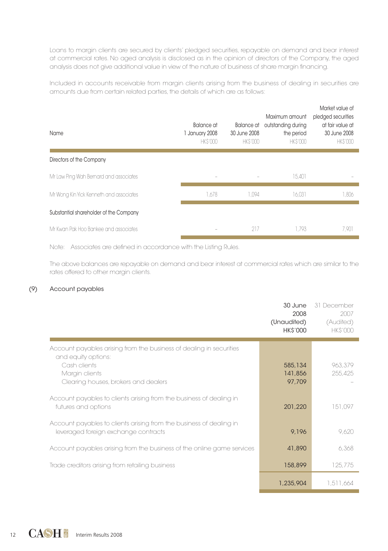Loans to margin clients are secured by clients' pledged securities, repayable on demand and bear interest at commercial rates. No aged analysis is disclosed as in the opinion of directors of the Company, the aged analysis does not give additional value in view of the nature of business of share margin financing.

Included in accounts receivable from margin clients arising from the business of dealing in securities are amounts due from certain related parties, the details of which are as follows:

| Name                                    | Balance at<br>1 January 2008<br><b>HKS'000</b> | Balance at<br>30 June 2008<br><b>HKS'000</b> | Maximum amount<br>outstanding during<br>the period<br><b>HKS'000</b> | Market value of<br>pledged securities<br>at fair value at<br>30 June 2008<br><b>HKS'000</b> |
|-----------------------------------------|------------------------------------------------|----------------------------------------------|----------------------------------------------------------------------|---------------------------------------------------------------------------------------------|
| Directors of the Company                |                                                |                                              |                                                                      |                                                                                             |
| Mr Law Ping Wah Bernard and associates  | -                                              | $\overline{\phantom{m}}$                     | 15.401                                                               |                                                                                             |
| Mr Wong Kin Yick Kenneth and associates | 1.678                                          | 1.094                                        | 16.031                                                               | 1,806                                                                                       |
| Substantial shareholder of the Company  |                                                |                                              |                                                                      |                                                                                             |
| Mr Kwan Pak Hoo Bankee and associates   |                                                | 217                                          | 1.793                                                                | 7.901                                                                                       |

Note: Associates are defined in accordance with the Listing Rules.

The above balances are repayable on demand and bear interest at commercial rates which are similar to the rates offered to other margin clients.

#### (9) Account payables

|                                                                                                                                                                      | 30 June<br>2008<br>(Unaudited)<br><b>HK\$'000</b> | 31 December<br>2007<br>(Audited)<br><b>HKS'000</b> |
|----------------------------------------------------------------------------------------------------------------------------------------------------------------------|---------------------------------------------------|----------------------------------------------------|
| Account payables arising from the business of dealing in securities<br>and equity options:<br>Cash clients<br>Margin clients<br>Clearing houses, brokers and dealers | 585,134<br>141,856<br>97.709                      | 963.379<br>255.425                                 |
| Account payables to clients arising from the business of dealing in<br>futures and options                                                                           | 201.220                                           | 151,097                                            |
| Account payables to clients arising from the business of dealing in<br>leveraged foreign exchange contracts                                                          | 9,196                                             | 9.620                                              |
| Account payables arising from the business of the online game services                                                                                               | 41,890                                            | 6,368                                              |
| Trade creditors arising from retailing business                                                                                                                      | 158,899                                           | 125.775                                            |
|                                                                                                                                                                      | 1,235,904                                         | 1,511,664                                          |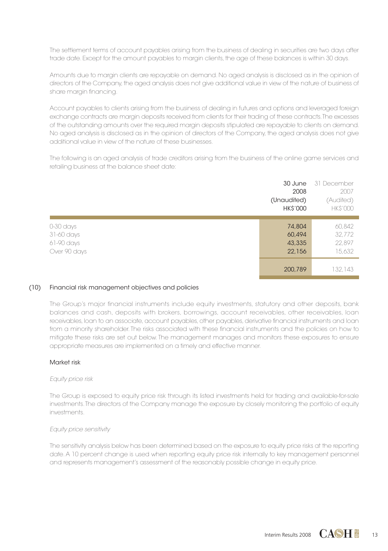The settlement terms of account payables arising from the business of dealing in securities are two days after trade date. Except for the amount payables to margin clients, the age of these balances is within 30 days.

Amounts due to margin clients are repayable on demand. No aged analysis is disclosed as in the opinion of directors of the Company, the aged analysis does not give additional value in view of the nature of business of share margin financing.

Account payables to clients arising from the business of dealing in futures and options and leveraged foreign exchange contracts are margin deposits received from clients for their trading of these contracts. The excesses of the outstanding amounts over the required margin deposits stipulated are repayable to clients on demand. No aged analysis is disclosed as in the opinion of directors of the Company, the aged analysis does not give additional value in view of the nature of these businesses.

The following is an aged analysis of trade creditors arising from the business of the online game services and retailing business at the balance sheet date:

|                                                       | 30 June<br>2008<br>(Unaudited)<br><b>HK\$'000</b> | 31 December<br>2007<br>(Audited)<br><b>HK\$'000</b> |
|-------------------------------------------------------|---------------------------------------------------|-----------------------------------------------------|
| 0-30 days<br>31-60 days<br>61-90 days<br>Over 90 days | 74,804<br>60,494<br>43,335<br>22,156              | 60,842<br>32,772<br>22,897<br>15,632                |
|                                                       | 200,789                                           | 132.143                                             |

#### (10) Financial risk management objectives and policies

The Group's major financial instruments include equity investments, statutory and other deposits, bank balances and cash, deposits with brokers, borrowings, account receivables, other receivables, loan receivables, loan to an associate, account payables, other payables, derivative financial instruments and loan from a minority shareholder. The risks associated with these financial instruments and the policies on how to mitigate these risks are set out below. The management manages and monitors these exposures to ensure appropriate measures are implemented on a timely and effective manner.

#### Market risk

#### Equity price risk

The Group is exposed to equity price risk through its listed investments held for trading and available-for-sale investments. The directors of the Company manage the exposure by closely monitoring the portfolio of equity investments.

#### Equity price sensitivity

The sensitivity analysis below has been determined based on the exposure to equity price risks at the reporting date. A 10 percent change is used when reporting equity price risk internally to key management personnel and represents management's assessment of the reasonably possible change in equity price.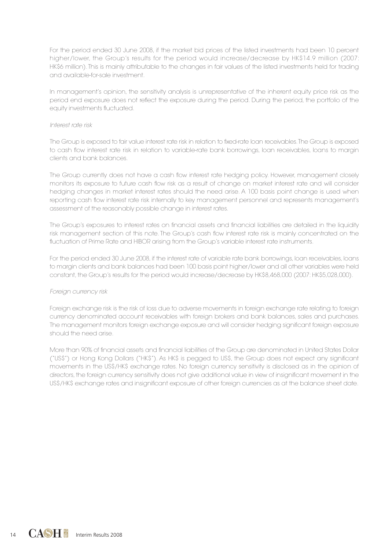For the period ended 30 June 2008, if the market bid prices of the listed investments had been 10 percent higher/lower, the Group's results for the period would increase/decrease by HK\$14.9 million (2007: HK\$6 million). This is mainly attributable to the changes in fair values of the listed investments held for trading and available-for-sale investment.

In management's opinion, the sensitivity analysis is unrepresentative of the inherent equity price risk as the period end exposure does not reflect the exposure during the period. During the period, the portfolio of the equity investments fluctuated.

#### Interest rate risk

The Group is exposed to fair value interest rate risk in relation to fixed-rate loan receivables. The Group is exposed to cash flow interest rate risk in relation to variable-rate bank borrowings, loan receivables, loans to margin clients and bank balances.

The Group currently does not have a cash flow interest rate hedging policy. However, management closely monitors its exposure to future cash flow risk as a result of change on market interest rate and will consider hedging changes in market interest rates should the need arise. A 100 basis point change is used when reporting cash flow interest rate risk internally to key management personnel and represents management's assessment of the reasonably possible change in interest rates.

The Group's exposures to interest rates on financial assets and financial liabilities are detailed in the liquidity risk management section of this note. The Group's cash flow interest rate risk is mainly concentrated on the fluctuation of Prime Rate and HIBOR arising from the Group's variable interest rate instruments.

For the period ended 30 June 2008, if the interest rate of variable rate bank borrowings, loan receivables, loans to margin clients and bank balances had been 100 basis point higher/lower and all other variables were held constant, the Group's results for the period would increase/decrease by HK\$8,468,000 (2007: HK\$5,028,000).

#### Foreian currency risk

Foreign exchange risk is the risk of loss due to adverse movements in foreign exchange rate relating to foreign currency denominated account receivables with foreign brokers and bank balances, sales and purchases. The management monitors foreign exchange exposure and will consider hedging significant foreign exposure should the need arise.

More than 90% of financial assets and financial liabilities of the Group are denominated in United States Dollar ("US\$") or Hong Kong Dollars ("HK\$"). As HK\$ is pegged to US\$, the Group does not expect any significant movements in the US\$/HK\$ exchange rates. No foreign currency sensitivity is disclosed as in the opinion of directors, the foreign currency sensitivity does not give additional value in view of insignificant movement in the US\$/HK\$ exchange rates and insignificant exposure of other foreign currencies as at the balance sheet date.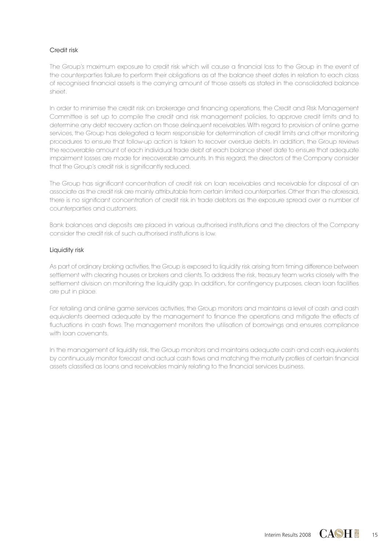#### Credit risk

The Group's maximum exposure to credit risk which will cause a financial loss to the Group in the event of the counterparties failure to perform their obligations as at the balance sheet dates in relation to each class of recognised financial assets is the carrying amount of those assets as stated in the consolidated balance sheet.

In order to minimise the credit risk on brokerage and financing operations, the Credit and Risk Management Committee is set up to compile the credit and risk management policies, to approve credit limits and to determine any debt recovery action on those delinquent receivables. With regard to provision of online game services, the Group has delegated a team responsible for determination of credit limits and other monitoring procedures to ensure that follow-up action is taken to recover overdue debts. In addition, the Group reviews the recoverable amount of each individual trade debt at each balance sheet date to ensure that adequate impairment losses are made for irrecoverable amounts. In this regard, the directors of the Company consider that the Group's credit risk is significantly reduced.

The Group has significant concentration of credit risk on loan receivables and receivable for disposal of an associate as the credit risk are mainly attributable from certain limited counterparties. Other than the aforesaid, there is no significant concentration of credit risk in trade debtors as the exposure spread over a number of counterparties and customers.

Bank balances and deposits are placed in various authorised institutions and the directors of the Company consider the credit risk of such authorised institutions is low.

#### Liquidity risk

As part of ordinary broking activities, the Group is exposed to liquidity risk arising from timing difference between settlement with clearing houses or brokers and clients. To address the risk, treasury team works closely with the settlement division on monitoring the liquidity gap. In addition, for contingency purposes, clean loan facilities are put in place.

For retailing and online game services activities, the Group monitors and maintains a level of cash and cash equivalents deemed adequate by the management to finance the operations and mitigate the effects of fluctuations in cash flows. The management monitors the utilisation of borrowings and ensures compliance with loan covenants.

In the management of liquidity risk, the Group monitors and maintains adequate cash and cash equivalents by continuously monitor forecast and actual cash flows and matching the maturity profiles of certain financial assets classified as loans and receivables mainly relating to the financial services business.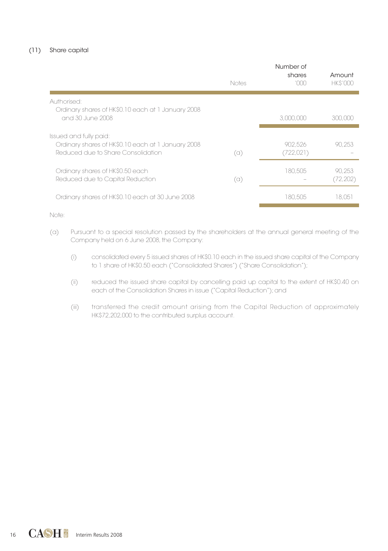#### (11) Share capital

|                                                                                                                    | Notes | Number of<br>shares<br>1000 | Amount<br><b>HKS'000</b> |
|--------------------------------------------------------------------------------------------------------------------|-------|-----------------------------|--------------------------|
| Authorised:<br>Ordinary shares of HK\$0.10 each at 1 January 2008<br>and 30 June 2008                              |       | 3,000,000                   | 300,000                  |
| Issued and fully paid:<br>Ordinary shares of HK\$0.10 each at 1 January 2008<br>Reduced due to Share Consolidation | (a)   | 902.526<br>(722,021)        | 90.253                   |
| Ordinary shares of HK\$0.50 each<br>Reduced due to Capital Reduction                                               | (a)   | 180.505                     | 90.253<br>(72, 202)      |
| Ordinary shares of HK\$0.10 each at 30 June 2008                                                                   |       | 180.505                     | 18.051                   |

Note:

- (a) Pursuant to a special resolution passed by the shareholders at the annual general meeting of the Company held on 6 June 2008, the Company:
	- (i) consolidated every 5 issued shares of HK\$0.10 each in the issued share capital of the Company to 1 share of HK\$0.50 each ("Consolidated Shares") ("Share Consolidation");
	- (ii) reduced the issued share capital by cancelling paid up capital to the extent of HK\$0.40 on each of the Consolidation Shares in issue ("Capital Reduction"); and
	- (iii) transferred the credit amount arising from the Capital Reduction of approximately HK\$72,202,000 to the contributed surplus account.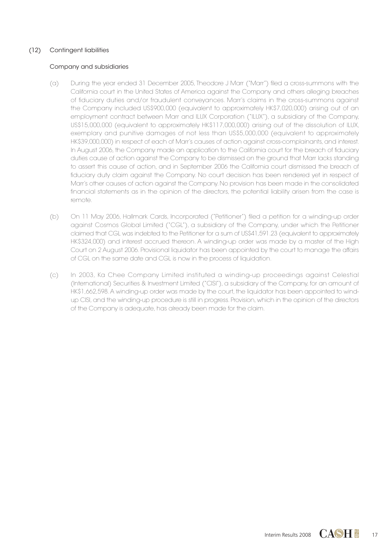#### (12) Contingent liabilities

#### Company and subsidiaries

- (a) During the year ended 31 December 2005, Theodore J Marr ("Marr") filed a cross-summons with the California court in the United States of America against the Company and others alleging breaches of fiduciary duties and/or fraudulent conveyances. Marr's claims in the cross-summons against the Company included US\$900,000 (equivalent to approximately HK\$7,020,000) arising out of an employment contract between Marr and ILUX Corporation ("ILUX"), a subsidiary of the Company, US\$15,000,000 (equivalent to approximately HK\$117,000,000) arising out of the dissolution of ILUX. exemplary and punitive damages of not less than US\$5,000,000 (equivalent to approximately HK\$39,000,000) in respect of each of Marr's causes of action against cross-complainants, and interest. In August 2006, the Company made an application to the California court for the breach of fiduciary duties cause of action against the Company to be dismissed on the ground that Marr lacks standing to assert this cause of action, and in September 2006 the California court dismissed the breach of fiduciary duty claim against the Company. No court decision has been rendered yet in respect of Marr's other causes of action against the Company. No provision has been made in the consolidated financial statements as in the opinion of the directors, the potential liability arisen from the case is remote.
- (b) On 11 May 2006, Hallmark Cards, Incorporated ("Petitioner") filed a petition for a winding-up order against Cosmos Global Limited ("CGL"), a subsidiary of the Company, under which the Petitioner claimed that CGL was indebted to the Petitioner for a sum of US\$41,591.23 (equivalent to approximately HK\$324,000) and interest accrued thereon. A winding-up order was made by a master of the High Court on 2 August 2006. Provisional liquidator has been appointed by the court to manage the affairs of CGL on the same date and CGL is now in the process of liquidation.
- (c) In 2003, Ka Chee Company Limited instituted a winding-up proceedings against Celestial (International) Securities & Investment Limited ("CISI"), a subsidiary of the Company, for an amount of HK\$1,662,598. A winding-up order was made by the court, the liquidator has been appointed to windup CISI, and the winding-up procedure is still in progress. Provision, which in the opinion of the directors of the Company is adequate, has already been made for the claim.

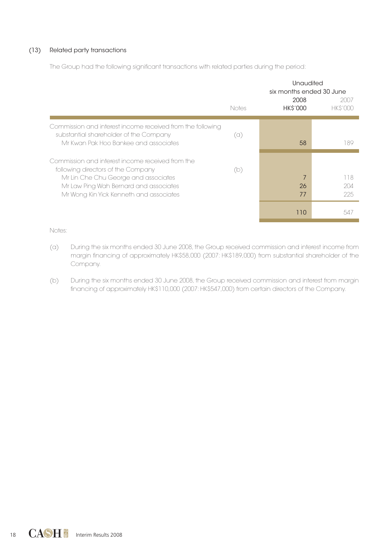#### (13) Related party transactions

The Group had the following significant transactions with related parties during the period:

|                                                                                                      | Unaudited<br>six months ended 30 June<br>2008 |          |                        |
|------------------------------------------------------------------------------------------------------|-----------------------------------------------|----------|------------------------|
|                                                                                                      | Notes                                         | HK\$'000 | 2007<br><b>HKS'000</b> |
| Commission and interest income received from the following<br>substantial shareholder of the Company | (a)                                           |          |                        |
| Mr Kwan Pak Hoo Bankee and associates                                                                |                                               | 58       | 189                    |
| Commission and interest income received from the                                                     |                                               |          |                        |
| following directors of the Company<br>Mr Lin Che Chu George and associates                           | (b)                                           | 7        | 118                    |
| Mr Law Ping Wah Bernard and associates                                                               |                                               | 26       | 204                    |
| Mr Wong Kin Yick Kenneth and associates                                                              |                                               | 77       | 225                    |
|                                                                                                      |                                               | 110      | 547                    |

Notes:

- (a) During the six months ended 30 June 2008, the Group received commission and interest income from margin financing of approximately HK\$58,000 (2007: HK\$189,000) from substantial shareholder of the Company.
- (b) During the six months ended 30 June 2008, the Group received commission and interest from margin financing of approximately HK\$110,000 (2007: HK\$547,000) from certain directors of the Company.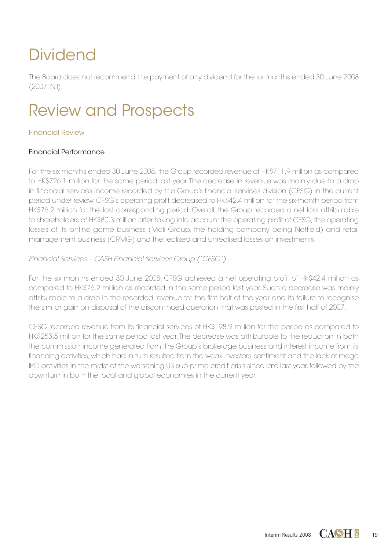# **Dividend**

The Board does not recommend the payment of any dividend for the six months ended 30 June 2008 (2007: Nil).

## Review and Prospects

## Financial Review

## Financial Performance

For the six months ended 30 June 2008, the Group recorded revenue of HK\$711.9 million as compared to HK\$726.1 million for the same period last year. The decrease in revenue was mainly due to a drop in financial services income recorded by the Group's financial services division (CFSG) in the current period under review. CFSG's operating profit decreased to HK\$42.4 million for the six-month period from HK\$76.2 million for the last corresponding period. Overall, the Group recorded a net loss attributable to shareholders of HK\$80.3 million after taking into account the operating profit of CFSG, the operating losses of its online game business (Moli Group, the holding company being Netfield) and retail management business (CRMG) and the realised and unrealised losses on investments.

Financial Services – CASH Financial Services Group ("CFSG")

For the six months ended 30 June 2008, CFSG achieved a net operating profit of HK\$42.4 million as compared to HK\$76.2 million as recorded in the same period last year. Such a decrease was mainly attributable to a drop in the recorded revenue for the first half of the year and its failure to recognise the similar gain on disposal of the discontinued operation that was posted in the first half of 2007.

CFSG recorded revenue from its financial services of HK\$198.9 million for the period as compared to HK\$253.5 million for the same period last year. The decrease was attributable to the reduction in both the commission income generated from the Group's brokerage business and interest income from its financing activities, which had in turn resulted from the weak investors' sentiment and the lack of mega IPO activities in the midst of the worsening US sub-prime credit crisis since late last year, followed by the downturn in both the local and global economies in the current year.

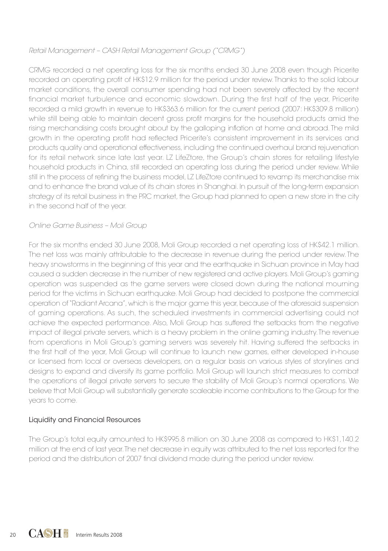## Retail Management – CASH Retail Management Group ("CRMG")

CRMG recorded a net operating loss for the six months ended 30 June 2008 even though Pricerite recorded an operating profit of HK\$12.9 million for the period under review. Thanks to the solid labour market conditions, the overall consumer spending had not been severely affected by the recent financial market turbulence and economic slowdown. During the first half of the year, Pricerite recorded a mild growth in revenue to HK\$363.6 million for the current period (2007: HK\$309.8 million) while still being able to maintain decent gross profit margins for the household products amid the rising merchandising costs brought about by the galloping inflation at home and abroad. The mild growth in the operating profit had reflected Pricerite's consistent improvement in its services and products quality and operational effectiveness, including the continued overhaul brand rejuvenation for its retail network since late last year. LZ LifeZtore, the Group's chain stores for retailing lifestyle household products in China, still recorded an operating loss during the period under review. While still in the process of refining the business model, LZ LifeZtore continued to revamp its merchandise mix and to enhance the brand value of its chain stores in Shanghai. In pursuit of the long-term expansion strategy of its retail business in the PRC market, the Group had planned to open a new store in the city in the second half of the year.

## Online Game Business – Moli Group

For the six months ended 30 June 2008, Moli Group recorded a net operating loss of HK\$42.1 million. The net loss was mainly attributable to the decrease in revenue during the period under review. The heavy snowstorms in the beginning of this year and the earthquake in Sichuan province in May had caused a sudden decrease in the number of new registered and active players. Moli Group's gaming operation was suspended as the game servers were closed down during the national mourning period for the victims in Sichuan earthquake. Moli Group had decided to postpone the commercial operation of "Radiant Arcana", which is the major game this year, because of the aforesaid suspension of gaming operations. As such, the scheduled investments in commercial advertising could not achieve the expected performance. Also, Moli Group has suffered the setbacks from the negative impact of illegal private servers, which is a heavy problem in the online gaming industry. The revenue from operations in Moli Group's gaming servers was severely hit. Having suffered the setbacks in the first half of the year, Moli Group will continue to launch new games, either developed in-house or licensed from local or overseas developers, on a regular basis on various styles of storylines and designs to expand and diversify its game portfolio. Moli Group will launch strict measures to combat the operations of illegal private servers to secure the stability of Moli Group's normal operations. We believe that Moli Group will substantially generate scaleable income contributions to the Group for the years to come.

## Liquidity and Financial Resources

The Group's total equity amounted to HK\$995.8 million on 30 June 2008 as compared to HK\$1,140.2 million at the end of last year. The net decrease in equity was attributed to the net loss reported for the period and the distribution of 2007 final dividend made during the period under review.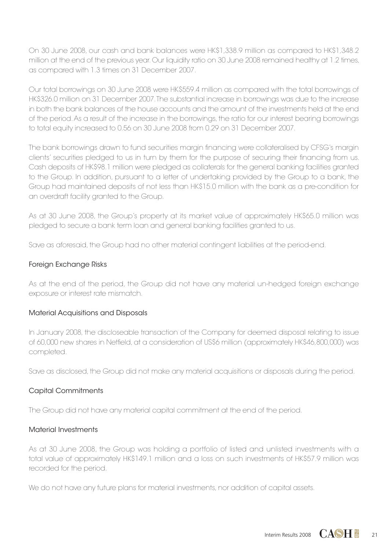On 30 June 2008, our cash and bank balances were HK\$1,338.9 million as compared to HK\$1,348.2 million at the end of the previous year. Our liquidity ratio on 30 June 2008 remained healthy at 1.2 times, as compared with 1.3 times on 31 December 2007.

Our total borrowings on 30 June 2008 were HK\$559.4 million as compared with the total borrowings of HK\$326.0 million on 31 December 2007. The substantial increase in borrowings was due to the increase in both the bank balances of the house accounts and the amount of the investments held at the end of the period. As a result of the increase in the borrowings, the ratio for our interest bearing borrowings to total equity increased to 0.56 on 30 June 2008 from 0.29 on 31 December 2007.

The bank borrowings drawn to fund securities margin financing were collateralised by CFSG's margin clients' securities pledged to us in turn by them for the purpose of securing their financing from us. Cash deposits of HK\$98.1 million were pledged as collaterals for the general banking facilities granted to the Group. In addition, pursuant to a letter of undertaking provided by the Group to a bank, the Group had maintained deposits of not less than HK\$15.0 million with the bank as a pre-condition for an overdraft facility granted to the Group.

As at 30 June 2008, the Group's property at its market value of approximately HK\$65.0 million was pledged to secure a bank term loan and general banking facilities granted to us.

Save as aforesaid, the Group had no other material contingent liabilities at the period-end.

## Foreign Exchange Risks

As at the end of the period, the Group did not have any material un-hedged foreign exchange exposure or interest rate mismatch.

## Material Acquisitions and Disposals

In January 2008, the discloseable transaction of the Company for deemed disposal relating to issue of 60,000 new shares in Netfield, at a consideration of US\$6 million (approximately HK\$46,800,000) was completed.

Save as disclosed, the Group did not make any material acquisitions or disposals during the period.

## Capital Commitments

The Group did not have any material capital commitment at the end of the period.

## Material Investments

As at 30 June 2008, the Group was holding a portfolio of listed and unlisted investments with a total value of approximately HK\$149.1 million and a loss on such investments of HK\$57.9 million was recorded for the period.

We do not have any future plans for material investments, nor addition of capital assets.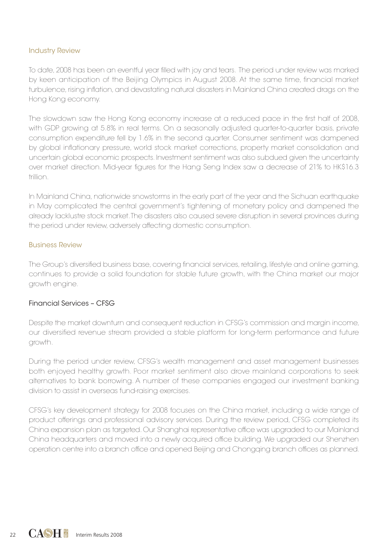### Industry Review

To date, 2008 has been an eventful year filled with joy and tears. The period under review was marked by keen anticipation of the Beijing Olympics in August 2008. At the same time, financial market turbulence, rising inflation, and devastating natural disasters in Mainland China created drags on the Hong Kong economy.

The slowdown saw the Hong Kong economy increase at a reduced pace in the first half of 2008, with GDP growing at 5.8% in real terms. On a seasonally adjusted quarter-to-quarter basis, private consumption expenditure fell by 1.6% in the second quarter. Consumer sentiment was dampened by global inflationary pressure, world stock market corrections, property market consolidation and uncertain global economic prospects. Investment sentiment was also subdued given the uncertainty over market direction. Mid-year figures for the Hang Seng Index saw a decrease of 21% to HK\$16.3 trillion.

In Mainland China, nationwide snowstorms in the early part of the year and the Sichuan earthquake in May complicated the central government's tightening of monetary policy and dampened the already lacklustre stock market. The disasters also caused severe disruption in several provinces during the period under review, adversely affecting domestic consumption.

#### Business Review

The Group's diversified business base, covering financial services, retailing, lifestyle and online gaming, continues to provide a solid foundation for stable future growth, with the China market our major growth engine.

### Financial Services – CFSG

Despite the market downturn and consequent reduction in CFSG's commission and margin income, our diversified revenue stream provided a stable platform for long-term performance and future growth.

During the period under review, CFSG's wealth management and asset management businesses both enjoyed healthy growth. Poor market sentiment also drove mainland corporations to seek alternatives to bank borrowing. A number of these companies engaged our investment banking division to assist in overseas fund-raising exercises.

CFSG's key development strategy for 2008 focuses on the China market, including a wide range of product offerings and professional advisory services. During the review period, CFSG completed its China expansion plan as targeted. Our Shanghai representative office was upgraded to our Mainland China headquarters and moved into a newly acquired office building. We upgraded our Shenzhen operation centre into a branch office and opened Beijing and Chongqing branch offices as planned.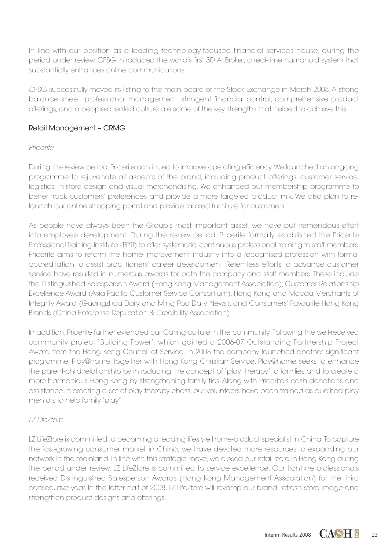In line with our position as a leading technology-focused financial services house, during the period under review, CFSG introduced the world's first 3D AI Broker, a real-time humanoid system that substantially enhances online communications.

CFSG successfully moved its listing to the main board of the Stock Exchange in March 2008. A strong balance sheet, professional management, stringent financial control, comprehensive product offerings, and a people-oriented culture are some of the key strengths that helped to achieve this.

## Retail Management – CRMG

## Pricerite

During the review period, Pricerite continued to improve operating efficiency. We launched an ongoing programme to rejuvenate all aspects of the brand, including product offerings, customer service, logistics, in-store design and visual merchandising. We enhanced our membership programme to better track customers' preferences and provide a more targeted product mix. We also plan to relaunch our online shopping portal and provide tailored furniture for customers.

As people have always been the Group's most important asset, we have put tremendous effort into employee development. During the review period, Pricerite formally established the Pricerite Professional Training Institute (PPTI) to offer systematic, continuous professional training to staff members. Pricerite aims to reform the home improvement industry into a recognised profession with formal accreditation to assist practitioners' career development. Relentless efforts to advance customer service have resulted in numerous awards for both the company and staff members. These include the Distinguished Salesperson Award (Hong Kong Management Association), Customer Relationship Excellence Award (Asia Pacific Customer Service Consortium), Hong Kong and Macau Merchants of Integrity Award (Guangzhou Daily and Ming Pao Daily News), and Consumers' Favourite Hong Kong Brands (China Enterprise Reputation & Credibility Association).

In addition, Pricerite further extended our Caring culture in the community. Following the well-received community project "Building Power", which gained a 2006-07 Outstanding Partnership Project Award from the Hong Kong Council of Service, in 2008 the company launched another significant programme, Play@home, together with Hong Kong Christian Service. Play@home seeks to enhance the parent-child relationship by introducing the concept of "play therapy" to families and to create a more harmonious Hong Kong by strengthening family ties. Along with Pricerite's cash donations and assistance in creating a set of play therapy chess, our volunteers have been trained as qualified play mentors to help family "play".

## LZ LifeZtore

LZ LifeZtore is committed to becoming a leading lifestyle home-product specialist in China. To capture the fast-growing consumer market in China, we have devoted more resources to expanding our network in the mainland. In line with this strategic move, we closed our retail store in Hong Kong during the period under review. LZ LifeZtore is committed to service excellence. Our frontline professionals received Distinguished Salesperson Awards (Hong Kong Management Association) for the third consecutive year. In the latter half of 2008, LZ LifeZtore will revamp our brand, refresh store image and strengthen product designs and offerings.

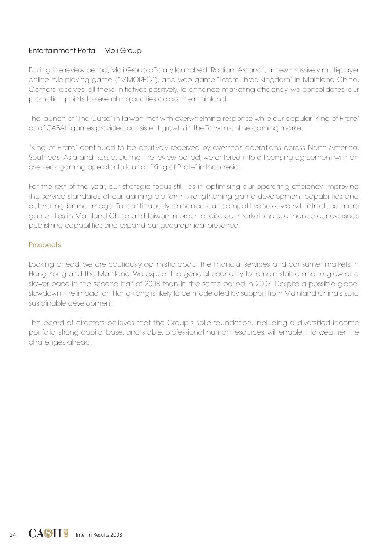## Entertainment Portal – Moli Group

During the review period, Moli Group officially launched "Radiant Arcana", a new massively multi-player online role-playing game ("MMORPG"), and web game "Totem Three-Kingdom" in Mainland China. Gamers received all these initiatives positively. To enhance marketing efficiency, we consolidated our promotion points to several major cities across the mainland.

The launch of "The Curse" in Taiwan met with overwhelming response while our popular "King of Pirate" and "CABAL" games provided consistent growth in the Taiwan online gaming market.

"King of Pirate" continued to be positively received by overseas operations across North America, Southeast Asia and Russia. During the review period, we entered into a licensing agreement with an overseas gaming operator to launch "King of Pirate" in Indonesia.

For the rest of the year, our strategic focus still lies in optimising our operating efficiency, improving the service standards of our gaming platform, strengthening game development capabilities and cultivating brand image. To continuously enhance our competitiveness, we will introduce more game titles in Mainland China and Taiwan in order to raise our market share, enhance our overseas publishing capabilities and expand our geographical presence.

### **Prospects**

Looking ahead, we are cautiously optimistic about the financial services and consumer markets in Hong Kong and the Mainland. We expect the general economy to remain stable and to grow at a slower pace in the second half of 2008 than in the same period in 2007. Despite a possible global slowdown, the impact on Hong Kong is likely to be moderated by support from Mainland China's solid sustainable development.

The board of directors believes that the Group's solid foundation, including a diversified income portfolio, strong capital base, and stable, professional human resources, will enable it to weather the challenges ahead.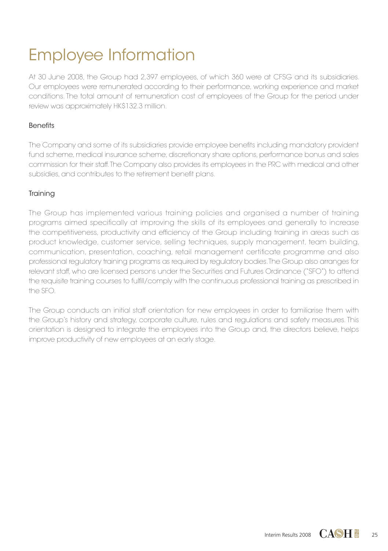# Employee Information

At 30 June 2008, the Group had 2,397 employees, of which 360 were at CFSG and its subsidiaries. Our employees were remunerated according to their performance, working experience and market conditions. The total amount of remuneration cost of employees of the Group for the period under review was approximately HK\$132.3 million.

## Benefits

The Company and some of its subsidiaries provide employee benefits including mandatory provident fund scheme, medical insurance scheme, discretionary share options, performance bonus and sales commission for their staff. The Company also provides its employees in the PRC with medical and other subsidies, and contributes to the retirement benefit plans.

## **Training**

The Group has implemented various training policies and organised a number of training programs aimed specifically at improving the skills of its employees and generally to increase the competitiveness, productivity and efficiency of the Group including training in areas such as product knowledge, customer service, selling techniques, supply management, team building, communication, presentation, coaching, retail management certificate programme and also professional regulatory training programs as required by regulatory bodies. The Group also arranges for relevant staff, who are licensed persons under the Securities and Futures Ordinance ("SFO") to attend the requisite training courses to fulfill/comply with the continuous professional training as prescribed in the SFO.

The Group conducts an initial staff orientation for new employees in order to familiarise them with the Group's history and strategy, corporate culture, rules and regulations and safety measures. This orientation is designed to integrate the employees into the Group and, the directors believe, helps improve productivity of new employees at an early stage.

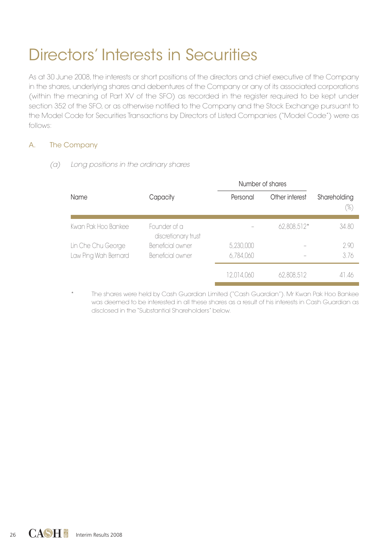## Directors' Interests in Securities

As at 30 June 2008, the interests or short positions of the directors and chief executive of the Company in the shares, underlying shares and debentures of the Company or any of its associated corporations (within the meaning of Part XV of the SFO) as recorded in the register required to be kept under section 352 of the SFO, or as otherwise notified to the Company and the Stock Exchange pursuant to the Model Code for Securities Transactions by Directors of Listed Companies ("Model Code") were as follows:

## A. The Company

(a) Long positions in the ordinary shares

|                                            |                                      | Number of shares       |                |                     |
|--------------------------------------------|--------------------------------------|------------------------|----------------|---------------------|
| Name                                       | Capacity                             | Personal               | Other interest | Shareholding<br>(%) |
| Kwan Pak Hoo Bankee                        | Founder of a<br>discretionary trust  |                        | 62,808,512*    | 34.80               |
| Lin Che Chu George<br>Law Ping Wah Bernard | Beneficial owner<br>Beneficial owner | 5,230,000<br>6,784,060 |                | 2.90<br>3.76        |
|                                            |                                      | 12,014,060             | 62,808,512     | 41.46               |

The shares were held by Cash Guardian Limited ("Cash Guardian"). Mr Kwan Pak Hoo Bankee was deemed to be interested in all these shares as a result of his interests in Cash Guardian as disclosed in the "Substantial Shareholders" below.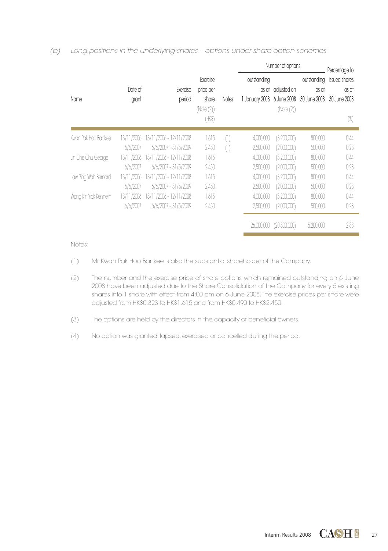### (b) Long positions in the underlying shares – options under share option schemes

|                       |                  |                         |                                                      |                | Number of options                      |                                         |                                      | Percentage to                                 |
|-----------------------|------------------|-------------------------|------------------------------------------------------|----------------|----------------------------------------|-----------------------------------------|--------------------------------------|-----------------------------------------------|
| Name                  | Date of<br>grant | Exercise<br>period      | Exercise<br>price per<br>share<br>(Note(2))<br>(HKS) | Notes          | outstanding<br>as at<br>1 January 2008 | adjusted on<br>6 June 2008<br>(Note(2)) | outstanding<br>as at<br>30 June 2008 | issued shares<br>as at<br>30 June 2008<br>(%) |
| Kwan Pak Hoo Bankee   | 13/11/2006       | 13/11/2006 - 12/11/2008 | 1.615                                                | $(\mathbb{I})$ | 4,000,000                              | (3,200,000)                             | 800,000                              | 0.44                                          |
|                       | 6/6/2007         | $6/6/2007 - 31/5/2009$  | 2.450                                                | (1)            | 2,500,000                              | (2,000,000)                             | 500,000                              | 0.28                                          |
| Lin Che Chu George    | 13/11/2006       | 13/11/2006 - 12/11/2008 | 1.615                                                |                | 4,000,000                              | (3,200,000)                             | 800,000                              | 0.44                                          |
|                       | 6/6/2007         | $6/6/2007 - 31/5/2009$  | 2.450                                                |                | 2,500,000                              | (2,000,000)                             | 500,000                              | 0.28                                          |
| Law Ping Wah Bernard  | 13/11/2006       | 13/11/2006 - 12/11/2008 | 1.615                                                |                | 4,000,000                              | (3,200,000)                             | 800,000                              | 0.44                                          |
|                       | 6/6/2007         | $6/6/2007 - 31/5/2009$  | 2.450                                                |                | 2,500,000                              | (2,000,000)                             | 500,000                              | 0.28                                          |
| Wong Kin Yick Kenneth | 13/11/2006       | 13/11/2006 - 12/11/2008 | 1.615                                                |                | 4,000,000                              | (3,200,000)                             | 800,000                              | 0.44                                          |
|                       | 6/6/2007         | $6/6/2007 - 31/5/2009$  | 2.450                                                |                | 2,500,000                              | (2,000,000)                             | 500,000                              | 0.28                                          |
|                       |                  |                         |                                                      |                | 26,000,000                             | (20,800,000)                            | 5,200,000                            | 2.88                                          |

#### Notes:

- (1) Mr Kwan Pak Hoo Bankee is also the substantial shareholder of the Company.
- (2) The number and the exercise price of share options which remained outstanding on 6 June 2008 have been adjusted due to the Share Consolidation of the Company for every 5 existing shares into 1 share with effect from 4:00 pm on 6 June 2008. The exercise prices per share were adjusted from HK\$0.323 to HK\$1.615 and from HK\$0.490 to HK\$2.450.
- (3) The options are held by the directors in the capacity of beneficial owners.
- (4) No option was granted, lapsed, exercised or cancelled during the period.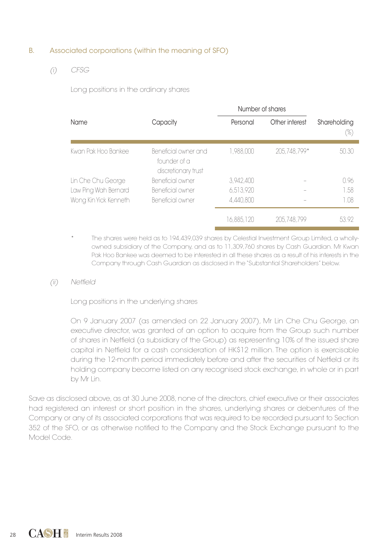### B. Associated corporations (within the meaning of SFO)

(i) CFSG

Long positions in the ordinary shares

|                       |                                                             | Number of shares |                |                     |
|-----------------------|-------------------------------------------------------------|------------------|----------------|---------------------|
| Name                  | Capacity                                                    | Personal         | Other interest | Shareholding<br>(%) |
| Kwan Pak Hoo Bankee   | Beneficial owner and<br>founder of a<br>discretionary trust | 1,988,000        | 205.748.799*   | 50.30               |
| Lin Che Chu George    | Beneficial owner                                            | 3.942.400        |                | 0.96                |
| Law Ping Wah Bernard  | Beneficial owner                                            | 6.513.920        |                | 1.58                |
| Wong Kin Yick Kenneth | Beneficial owner                                            | 4.440.800        |                | 1.08                |
|                       |                                                             | 16,885,120       | 205.748.799    | 53.92               |

The shares were held as to 194,439,039 shares by Celestial Investment Group Limited, a whollyowned subsidiary of the Company, and as to 11,309,760 shares by Cash Guardian. Mr Kwan Pak Hoo Bankee was deemed to be interested in all these shares as a result of his interests in the Company through Cash Guardian as disclosed in the "Substantial Shareholders" below.

(ii) Netfield

Long positions in the underlying shares

On 9 January 2007 (as amended on 22 January 2007), Mr Lin Che Chu George, an executive director, was granted of an option to acquire from the Group such number of shares in Netfield (a subsidiary of the Group) as representing 10% of the issued share capital in Netfield for a cash consideration of HK\$12 million. The option is exercisable during the 12-month period immediately before and after the securities of Netfield or its holding company become listed on any recognised stock exchange, in whole or in part by Mr Lin.

Save as disclosed above, as at 30 June 2008, none of the directors, chief executive or their associates had registered an interest or short position in the shares, underlying shares or debentures of the Company or any of its associated corporations that was required to be recorded pursuant to Section 352 of the SFO, or as otherwise notified to the Company and the Stock Exchange pursuant to the Model Code.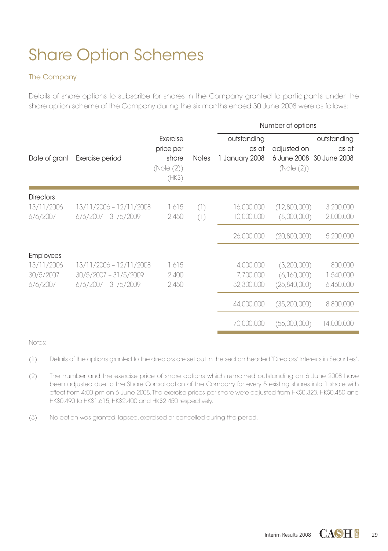# Share Option Schemes

## The Company

Details of share options to subscribe for shares in the Company granted to participants under the share option scheme of the Company during the six months ended 30 June 2008 were as follows:

|                                                         |                                                                              |                                                       |              | Number of options                      |                                            |                                                  |  |  |
|---------------------------------------------------------|------------------------------------------------------------------------------|-------------------------------------------------------|--------------|----------------------------------------|--------------------------------------------|--------------------------------------------------|--|--|
| Date of grant                                           | Exercise period                                                              | Exercise<br>price per<br>share<br>(Note (2))<br>(HKS) | <b>Notes</b> | outstanding<br>as at<br>1 January 2008 | adjusted on<br>(Note (2))                  | outstanding<br>as at<br>6 June 2008 30 June 2008 |  |  |
| <b>Directors</b><br>13/11/2006<br>6/6/2007              | 13/11/2006 - 12/11/2008<br>$6/6/2007 - 31/5/2009$                            | 1.615<br>2.450                                        | (1)<br>(1)   | 16,000,000<br>10,000,000               | (12,800,000)<br>(8,000,000)                | 3,200,000<br>2,000,000                           |  |  |
|                                                         |                                                                              |                                                       |              | 26,000,000                             | (20,800,000)                               | 5,200,000                                        |  |  |
| <b>Employees</b><br>13/11/2006<br>30/5/2007<br>6/6/2007 | 13/11/2006 - 12/11/2008<br>$30/5/2007 - 31/5/2009$<br>$6/6/2007 - 31/5/2009$ | 1.615<br>2.400<br>2.450                               |              | 4,000,000<br>7,700,000<br>32,300,000   | (3,200,000)<br>(6,160,000)<br>(25,840,000) | 800,000<br>1,540,000<br>6,460,000                |  |  |
|                                                         |                                                                              |                                                       |              | 44,000,000                             | (35, 200, 000)                             | 8,800,000                                        |  |  |
|                                                         |                                                                              |                                                       |              | 70,000,000                             | (56,000,000)                               | 14,000,000                                       |  |  |

Notes:

- (1) Details of the options granted to the directors are set out in the section headed "Directors' Interests in Securities".
- (2) The number and the exercise price of share options which remained outstanding on 6 June 2008 have been adjusted due to the Share Consolidation of the Company for every 5 existing shares into 1 share with effect from 4:00 pm on 6 June 2008. The exercise prices per share were adjusted from HK\$0.323, HK\$0.480 and HK\$0.490 to HK\$1.615, HK\$2.400 and HK\$2.450 respectively.
- (3) No option was granted, lapsed, exercised or cancelled during the period.

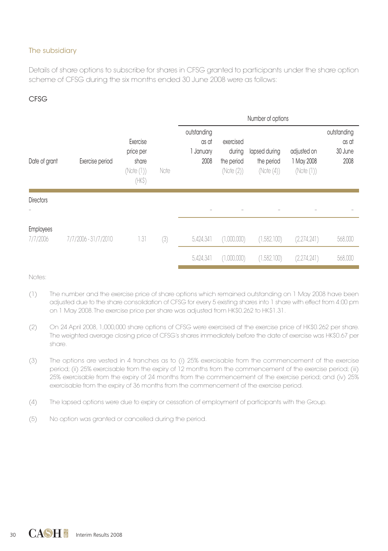## The subsidiary

Details of share options to subscribe for shares in CFSG granted to participants under the share option scheme of CFSG during the six months ended 30 June 2008 were as follows:

## CFSG

|                              |                      |                                                        |      | Number of options                         |                                                 |                                          |                                        |                                         |
|------------------------------|----------------------|--------------------------------------------------------|------|-------------------------------------------|-------------------------------------------------|------------------------------------------|----------------------------------------|-----------------------------------------|
| Date of grant                | Exercise period      | Exercise<br>price per<br>share<br>(Note (1))<br>(HK\$) | Note | outstanding<br>as at<br>1 January<br>2008 | exercised<br>during<br>the period<br>(Note (2)) | lapsed during<br>the period<br>(Note(4)) | adjusted on<br>1 May 2008<br>(Note(1)) | outstanding<br>as at<br>30 June<br>2008 |
| <b>Directors</b>             |                      |                                                        |      |                                           |                                                 |                                          |                                        |                                         |
|                              |                      |                                                        |      |                                           |                                                 |                                          |                                        |                                         |
| <b>Employees</b><br>7/7/2006 | 7/7/2006 - 31/7/2010 | 1.31                                                   | (3)  | 5,424,341                                 | (1,000,000)                                     | (1,582,100)                              | (2,274,241)                            | 568,000                                 |
|                              |                      |                                                        |      | 5.424.341                                 | (1,000,000)                                     | (1,582,100)                              | (2,274,241)                            | 568,000                                 |

Notes:

- (1) The number and the exercise price of share options which remained outstanding on 1 May 2008 have been adjusted due to the share consolidation of CFSG for every 5 existing shares into 1 share with effect from 4:00 pm on 1 May 2008. The exercise price per share was adjusted from HK\$0.262 to HK\$1.31.
- (2) On 24 April 2008, 1,000,000 share options of CFSG were exercised at the exercise price of HK\$0.262 per share. The weighted average closing price of CFSG's shares immediately before the date of exercise was HK\$0.67 per share.
- (3) The options are vested in 4 tranches as to (i) 25% exercisable from the commencement of the exercise period; (ii) 25% exercisable from the expiry of 12 months from the commencement of the exercise period; (iii) 25% exercisable from the expiry of 24 months from the commencement of the exercise period; and (iv) 25% exercisable from the expiry of 36 months from the commencement of the exercise period.
- (4) The lapsed options were due to expiry or cessation of employment of participants with the Group.
- (5) No option was granted or cancelled during the period.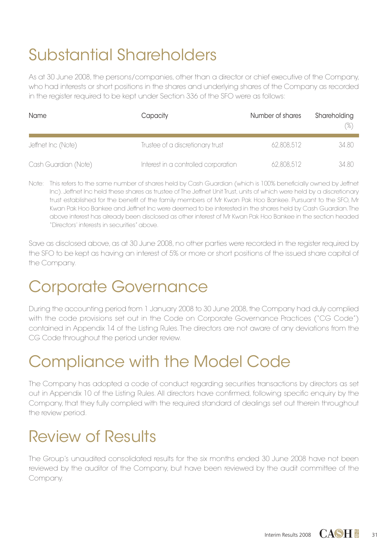# Substantial Shareholders

As at 30 June 2008, the persons/companies, other than a director or chief executive of the Company, who had interests or short positions in the shares and underlying shares of the Company as recorded in the register required to be kept under Section 336 of the SFO were as follows:

| Name                 | Capacity                             | Number of shares | Shareholding<br>$(\%)$ |
|----------------------|--------------------------------------|------------------|------------------------|
| Jeffnet Inc (Note)   | Trustee of a discretionary trust     | 62,808,512       | 34.80                  |
| Cash Guardian (Note) | Interest in a controlled corporation | 62,808,512       | 34.80                  |

Note: This refers to the same number of shares held by Cash Guardian (which is 100% beneficially owned by Jeffnet Inc). Jeffnet Inc held these shares as trustee of The Jeffnet Unit Trust, units of which were held by a discretionary trust established for the benefit of the family members of Mr Kwan Pak Hoo Bankee. Pursuant to the SFO, Mr Kwan Pak Hoo Bankee and Jeffnet Inc were deemed to be interested in the shares held by Cash Guardian. The above interest has already been disclosed as other interest of Mr Kwan Pak Hoo Bankee in the section headed "Directors' interests in securities" above.

Save as disclosed above, as at 30 June 2008, no other parties were recorded in the reaister required by the SFO to be kept as having an interest of 5% or more or short positions of the issued share capital of the Company.

## Corporate Governance

During the accounting period from 1 January 2008 to 30 June 2008, the Company had duly complied with the code provisions set out in the Code on Corporate Governance Practices ("CG Code") contained in Appendix 14 of the Listing Rules. The directors are not aware of any deviations from the CG Code throughout the period under review.

## Compliance with the Model Code

The Company has adopted a code of conduct regarding securities transactions by directors as set out in Appendix 10 of the Listing Rules. All directors have confirmed, following specific enquiry by the Company, that they fully complied with the required standard of dealings set out therein throughout the review period.

## Review of Results

The Group's unaudited consolidated results for the six months ended 30 June 2008 have not been reviewed by the auditor of the Company, but have been reviewed by the audit committee of the Company.